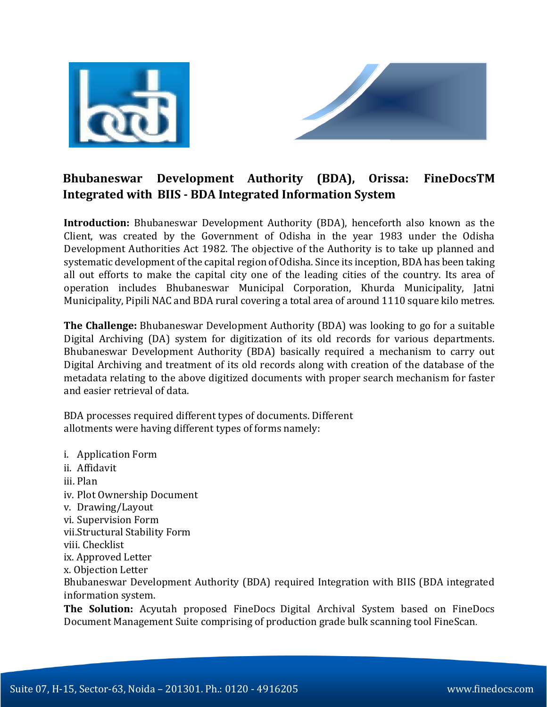

## **Bhubaneswar Development Authority (BDA), Orissa: FineDocsTM Integrated with BIIS - BDA Integrated Information System**

**Introduction:** Bhubaneswar Development Authority (BDA), henceforth also known as the Client, was created by the Government of Odisha in the year 1983 under the Odisha Development Authorities Act 1982. The objective of the Authority is to take up planned and systematic development of the capital region of Odisha. Since its inception, BDA has been taking all out efforts to make the capital city one of the leading cities of the country. Its area of operation includes Bhubaneswar Municipal Corporation, Khurda Municipality, Jatni Municipality, Pipili NAC and BDA rural covering a total area of around 1110 square kilo metres.

**The Challenge:** Bhubaneswar Development Authority (BDA) was looking to go for a suitable Digital Archiving (DA) system for digitization of its old records for various departments. Bhubaneswar Development Authority (BDA) basically required a mechanism to carry out Digital Archiving and treatment of its old records along with creation of the database of the metadata relating to the above digitized documents with proper search mechanism for faster and easier retrieval of data.

BDA processes required different types of documents. Different allotments were having different types of forms namely:

i. Application Form ii. Affidavit iii. Plan iv. Plot Ownership Document v. Drawing/Layout vi. Supervision Form vii.Structural Stability Form viii. Checklist ix. Approved Letter x. Objection Letter Bhubaneswar Development Authority (BDA) required Integration with BIIS (BDA integrated information system.

**The Solution:** Acyutah proposed FineDocs Digital Archival System based on FineDocs Document Management Suite comprising of production grade bulk scanning tool FineScan.